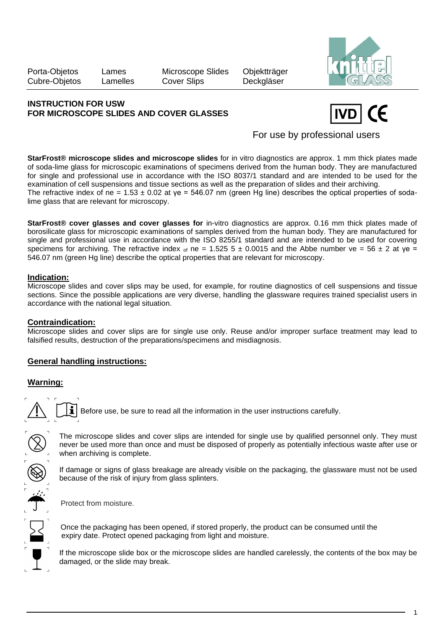Porta-Objetos Lames Microscope Slides Objektträger Cubre-Objetos Lamelles Cover Slips Deckgläser



## **INSTRUCTION FOR USW FOR MICROSCOPE SLIDES AND COVER GLASSES**



For use by professional users

**StarFrost® microscope slides and microscope slides** for in vitro diagnostics are approx. 1 mm thick plates made of soda-lime glass for microscopic examinations of specimens derived from the human body. They are manufactured for single and professional use in accordance with the ISO 8037/1 standard and are intended to be used for the examination of cell suspensions and tissue sections as well as the preparation of slides and their archiving. The refractive index of ne =  $1.53 \pm 0.02$  at ye =  $546.07$  nm (green Hg line) describes the optical properties of sodalime glass that are relevant for microscopy.

**StarFrost® cover glasses and cover glasses for** in-vitro diagnostics are approx. 0.16 mm thick plates made of borosilicate glass for microscopic examinations of samples derived from the human body. They are manufactured for single and professional use in accordance with the ISO 8255/1 standard and are intended to be used for covering specimens for archiving. The refractive index  $\sigma$  ne = 1.525 5  $\pm$  0.0015 and the Abbe number ve = 56  $\pm$  2 at ye = 546.07 nm (green Hg line) describe the optical properties that are relevant for microscopy.

## **Indication:**

Microscope slides and cover slips may be used, for example, for routine diagnostics of cell suspensions and tissue sections. Since the possible applications are very diverse, handling the glassware requires trained specialist users in accordance with the national legal situation.

## **Contraindication:**

Microscope slides and cover slips are for single use only. Reuse and/or improper surface treatment may lead to falsified results, destruction of the preparations/specimens and misdiagnosis.

# **General handling instructions:**

# **Warning:**

Before use, be sure to read all the information in the user instructions carefully.

The microscope slides and cover slips are intended for single use by qualified personnel only. They must never be used more than once and must be disposed of properly as potentially infectious waste after use or when archiving is complete.

If damage or signs of glass breakage are already visible on the packaging, the glassware must not be used because of the risk of injury from glass splinters.

Protect from moisture.

 Once the packaging has been opened, if stored properly, the product can be consumed until the expiry date. Protect opened packaging from light and moisture.

If the microscope slide box or the microscope slides are handled carelessly, the contents of the box may be damaged, or the slide may break.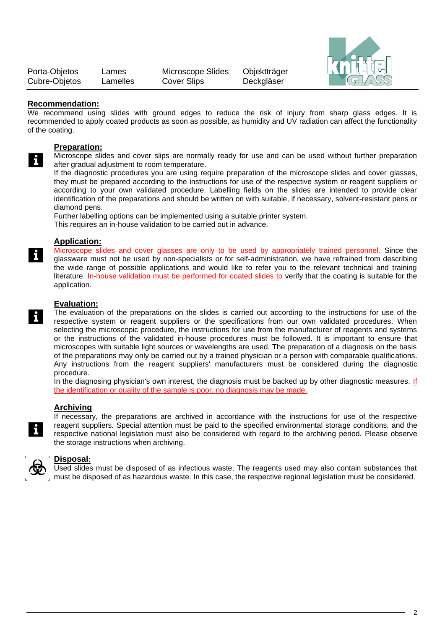| Porta-Objetos | Lames    | Microscope Slides  | Objektträger |
|---------------|----------|--------------------|--------------|
| Cubre-Objetos | Lamelles | <b>Cover Slips</b> | Deckgläser   |



### **Recommendation:**

We recommend using slides with ground edges to reduce the risk of injury from sharp glass edges. It is recommended to apply coated products as soon as possible, as humidity and UV radiation can affect the functionality of the coating.

### **Preparation:**

i

i

Microscope slides and cover slips are normally ready for use and can be used without further preparation after gradual adjustment to room temperature.

If the diagnostic procedures you are using require preparation of the microscope slides and cover glasses, they must be prepared according to the instructions for use of the respective system or reagent suppliers or according to your own validated procedure. Labelling fields on the slides are intended to provide clear identification of the preparations and should be written on with suitable, if necessary, solvent-resistant pens or diamond pens.

Further labelling options can be implemented using a suitable printer system.

This requires an in-house validation to be carried out in advance.

# **Application:**

Microscope slides and cover glasses are only to be used by appropriately trained personnel. Since the glassware must not be used by non-specialists or for self-administration, we have refrained from describing the wide range of possible applications and would like to refer you to the relevant technical and training literature. In-house validation must be performed for coated slides to verify that the coating is suitable for the application.

#### **Evaluation:**

The evaluation of the preparations on the slides is carried out according to the instructions for use of the respective system or reagent suppliers or the specifications from our own validated procedures. When selecting the microscopic procedure, the instructions for use from the manufacturer of reagents and systems or the instructions of the validated in-house procedures must be followed. It is important to ensure that microscopes with suitable light sources or wavelengths are used. The preparation of a diagnosis on the basis of the preparations may only be carried out by a trained physician or a person with comparable qualifications. Any instructions from the reagent suppliers' manufacturers must be considered during the diagnostic procedure.

In the diagnosing physician's own interest, the diagnosis must be backed up by other diagnostic measures. If the identification or quality of the sample is poor, no diagnosis may be made.

### **Archiving**

If necessary, the preparations are archived in accordance with the instructions for use of the respective reagent suppliers. Special attention must be paid to the specified environmental storage conditions, and the respective national legislation must also be considered with regard to the archiving period. Please observe the storage instructions when archiving.



### **Disposal:**

Used slides must be disposed of as infectious waste. The reagents used may also contain substances that must be disposed of as hazardous waste. In this case, the respective regional legislation must be considered.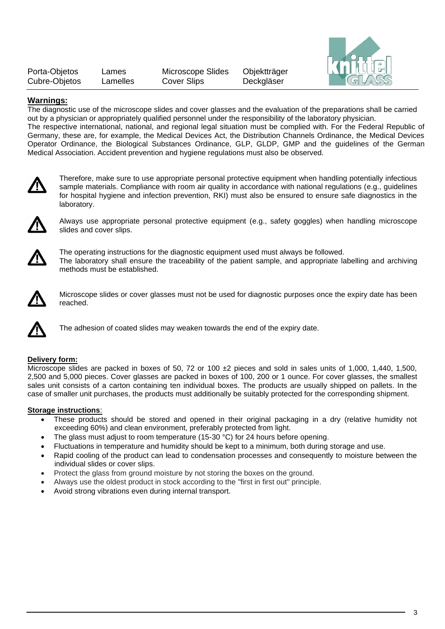| Porta-Objetos | Lames    | Microscope Slides | Objektträger |
|---------------|----------|-------------------|--------------|
| Cubre-Objetos | Lamelles | Cover Slips       | Deckgläser   |



### **Warnings:**

The diagnostic use of the microscope slides and cover glasses and the evaluation of the preparations shall be carried out by a physician or appropriately qualified personnel under the responsibility of the laboratory physician. The respective international, national, and regional legal situation must be complied with. For the Federal Republic of Germany, these are, for example, the Medical Devices Act, the Distribution Channels Ordinance, the Medical Devices Operator Ordinance, the Biological Substances Ordinance, GLP, GLDP, GMP and the guidelines of the German Medical Association. Accident prevention and hygiene regulations must also be observed.



Therefore, make sure to use appropriate personal protective equipment when handling potentially infectious sample materials. Compliance with room air quality in accordance with national regulations (e.g., guidelines for hospital hygiene and infection prevention, RKI) must also be ensured to ensure safe diagnostics in the laboratory.



Always use appropriate personal protective equipment (e.g., safety goggles) when handling microscope slides and cover slips.



The operating instructions for the diagnostic equipment used must always be followed. The laboratory shall ensure the traceability of the patient sample, and appropriate labelling and archiving methods must be established.



Microscope slides or cover glasses must not be used for diagnostic purposes once the expiry date has been reached.



The adhesion of coated slides may weaken towards the end of the expiry date.

#### **Delivery form:**

Microscope slides are packed in boxes of 50, 72 or 100 ±2 pieces and sold in sales units of 1,000, 1,440, 1,500, 2,500 and 5,000 pieces. Cover glasses are packed in boxes of 100, 200 or 1 ounce. For cover glasses, the smallest sales unit consists of a carton containing ten individual boxes. The products are usually shipped on pallets. In the case of smaller unit purchases, the products must additionally be suitably protected for the corresponding shipment.

#### **Storage instructions**:

- These products should be stored and opened in their original packaging in a dry (relative humidity not exceeding 60%) and clean environment, preferably protected from light.
- The glass must adjust to room temperature (15-30 °C) for 24 hours before opening.
- Fluctuations in temperature and humidity should be kept to a minimum, both during storage and use.
- Rapid cooling of the product can lead to condensation processes and consequently to moisture between the individual slides or cover slips.
- Protect the glass from ground moisture by not storing the boxes on the ground.
- Always use the oldest product in stock according to the "first in first out" principle.
- Avoid strong vibrations even during internal transport.